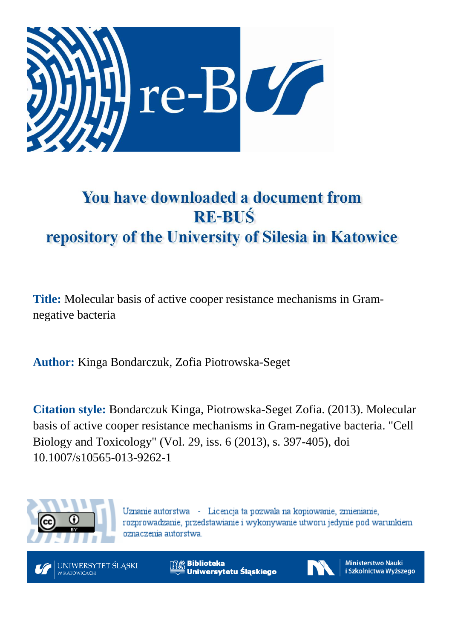

# You have downloaded a document from **RE-BUŚ** repository of the University of Silesia in Katowice

**Title:** Molecular basis of active cooper resistance mechanisms in Gramnegative bacteria

**Author:** Kinga Bondarczuk, Zofia Piotrowska-Seget

**Citation style:** Bondarczuk Kinga, Piotrowska-Seget Zofia. (2013). Molecular basis of active cooper resistance mechanisms in Gram-negative bacteria. ["Cell](https://www.scopus.com/sourceid/24626?origin=recordpage) Biology and [Toxicology"](https://www.scopus.com/sourceid/24626?origin=recordpage) (Vol. 29, iss. 6 (2013), s. 397-405), doi 10.1007/s10565-013-9262-1



Uznanie autorstwa - Licencja ta pozwala na kopiowanie, zmienianie, rozprowadzanie, przedstawianie i wykonywanie utworu jedynie pod warunkiem oznaczenia autorstwa.



**Biblioteka** Uniwersytetu Śląskiego



**Ministerstwo Nauki** i Szkolnictwa Wyższego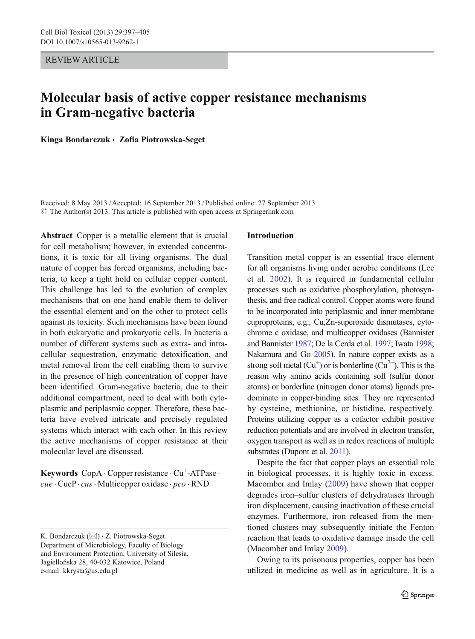REVIEW ARTICLE

# Molecular basis of active copper resistance mechanisms in Gram-negative bacteria

Kinga Bondarczuk & Zofia Piotrowska-Seget

Received: 8 May 2013 /Accepted: 16 September 2013 / Published online: 27 September 2013  $\odot$  The Author(s) 2013. This article is published with open access at Springerlink.com

Abstract Copper is a metallic element that is crucial for cell metabolism; however, in extended concentrations, it is toxic for all living organisms. The dual nature of copper has forced organisms, including bacteria, to keep a tight hold on cellular copper content. This challenge has led to the evolution of complex mechanisms that on one hand enable them to deliver the essential element and on the other to protect cells against its toxicity. Such mechanisms have been found in both eukaryotic and prokaryotic cells. In bacteria a number of different systems such as extra- and intracellular sequestration, enzymatic detoxification, and metal removal from the cell enabling them to survive in the presence of high concentration of copper have been identified. Gram-negative bacteria, due to their additional compartment, need to deal with both cytoplasmic and periplasmic copper. Therefore, these bacteria have evolved intricate and precisely regulated systems which interact with each other. In this review the active mechanisms of copper resistance at their molecular level are discussed.

Keywords CopA · Copper resistance · Cu<sup>+</sup>-ATPase · cue · CueP · cus · Multicopper oxidase · pco · RND

#### Introduction

Transition metal copper is an essential trace element for all organisms living under aerobic conditions (Lee et al. [2002\)](#page-8-0). It is required in fundamental cellular processes such as oxidative phosphorylation, photosynthesis, and free radical control. Copper atoms were found to be incorporated into periplasmic and inner membrane cuproproteins, e.g., Cu,Zn-superoxide dismutases, cytochrome c oxidase, and multicopper oxidases (Bannister and Bannister [1987;](#page-7-0) De la Cerda et al. [1997](#page-7-0); Iwata [1998;](#page-8-0) Nakamura and Go [2005\)](#page-8-0). In nature copper exists as a strong soft metal  $(Cu<sup>+</sup>)$  or is borderline  $(Cu<sup>2+</sup>)$ . This is the reason why amino acids containing soft (sulfur donor atoms) or borderline (nitrogen donor atoms) ligands predominate in copper-binding sites. They are represented by cysteine, methionine, or histidine, respectively. Proteins utilizing copper as a cofactor exhibit positive reduction potentials and are involved in electron transfer, oxygen transport as well as in redox reactions of multiple substrates (Dupont et al. [2011\)](#page-8-0).

Despite the fact that copper plays an essential role in biological processes, it is highly toxic in excess. Macomber and Imlay ([2009\)](#page-8-0) have shown that copper degrades iron–sulfur clusters of dehydratases through iron displacement, causing inactivation of these crucial enzymes. Furthermore, iron released from the mentioned clusters may subsequently initiate the Fenton reaction that leads to oxidative damage inside the cell (Macomber and Imlay [2009](#page-8-0)).

Owing to its poisonous properties, copper has been utilized in medicine as well as in agriculture. It is a

K. Bondarczuk  $(\boxtimes) \cdot Z$ . Piotrowska-Seget Department of Microbiology, Faculty of Biology and Environment Protection, University of Silesia, Jagiellońska 28, 40-032 Katowice, Poland e-mail: kkrysta@us.edu.pl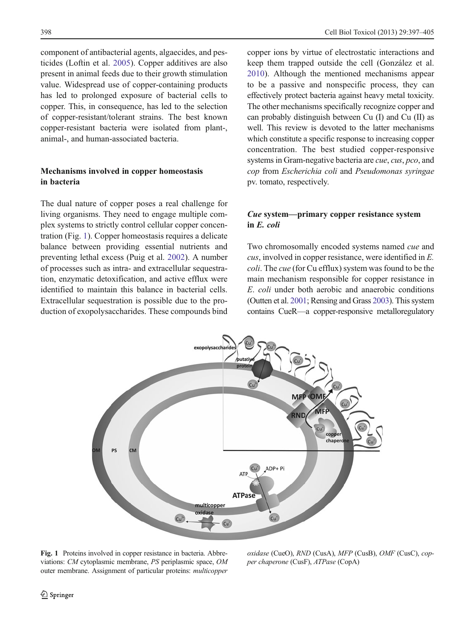component of antibacterial agents, algaecides, and pesticides (Loftin et al. [2005](#page-8-0)). Copper additives are also present in animal feeds due to their growth stimulation value. Widespread use of copper-containing products has led to prolonged exposure of bacterial cells to copper. This, in consequence, has led to the selection of copper-resistant/tolerant strains. The best known copper-resistant bacteria were isolated from plant-, animal-, and human-associated bacteria.

## Mechanisms involved in copper homeostasis in bacteria

The dual nature of copper poses a real challenge for living organisms. They need to engage multiple complex systems to strictly control cellular copper concentration (Fig. 1). Copper homeostasis requires a delicate balance between providing essential nutrients and preventing lethal excess (Puig et al. [2002\)](#page-8-0). A number of processes such as intra- and extracellular sequestration, enzymatic detoxification, and active efflux were identified to maintain this balance in bacterial cells. Extracellular sequestration is possible due to the production of exopolysaccharides. These compounds bind copper ions by virtue of electrostatic interactions and keep them trapped outside the cell (González et al. [2010\)](#page-8-0). Although the mentioned mechanisms appear to be a passive and nonspecific process, they can effectively protect bacteria against heavy metal toxicity. The other mechanisms specifically recognize copper and can probably distinguish between Cu (I) and Cu (II) as well. This review is devoted to the latter mechanisms which constitute a specific response to increasing copper concentration. The best studied copper-responsive systems in Gram-negative bacteria are cue, cus, pco, and cop from Escherichia coli and Pseudomonas syringae pv. tomato, respectively.

## Cue system—primary copper resistance system in E. coli

Two chromosomally encoded systems named cue and cus, involved in copper resistance, were identified in E. coli. The cue (for Cu efflux) system was found to be the main mechanism responsible for copper resistance in E. coli under both aerobic and anaerobic conditions (Outten et al. [2001;](#page-8-0) Rensing and Grass [2003](#page-8-0)). This system contains CueR—a copper-responsive metalloregulatory



Fig. 1 Proteins involved in copper resistance in bacteria. Abbreviations: CM cytoplasmic membrane, PS periplasmic space, OM outer membrane. Assignment of particular proteins: multicopper

oxidase (CueO), RND (CusA), MFP (CusB), OMF (CusC), copper chaperone (CusF), ATPase (CopA)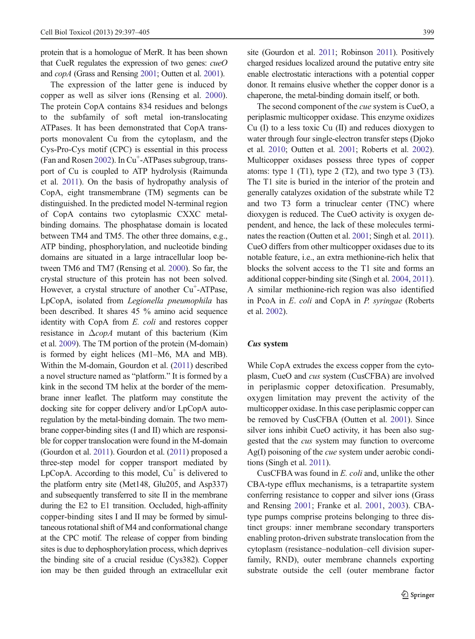protein that is a homologue of MerR. It has been shown that CueR regulates the expression of two genes: cueO and copA (Grass and Rensing [2001;](#page-8-0) Outten et al. [2001\)](#page-8-0).

The expression of the latter gene is induced by copper as well as silver ions (Rensing et al. [2000](#page-8-0)). The protein CopA contains 834 residues and belongs to the subfamily of soft metal ion-translocating ATPases. It has been demonstrated that CopA transports monovalent Cu from the cytoplasm, and the Cys-Pro-Cys motif (CPC) is essential in this process (Fan and Rosen [2002](#page-8-0)). In Cu<sup>+</sup>-ATPases subgroup, transport of Cu is coupled to ATP hydrolysis (Raimunda et al. [2011](#page-8-0)). On the basis of hydropathy analysis of CopA, eight transmembrane (TM) segments can be distinguished. In the predicted model N-terminal region of CopA contains two cytoplasmic CXXC metalbinding domains. The phosphatase domain is located between TM4 and TM5. The other three domains, e.g., ATP binding, phosphorylation, and nucleotide binding domains are situated in a large intracellular loop between TM6 and TM7 (Rensing et al. [2000](#page-8-0)). So far, the crystal structure of this protein has not been solved. However, a crystal structure of another Cu<sup>+</sup>-ATPase, LpCopA, isolated from Legionella pneumophila has been described. It shares 45 % amino acid sequence identity with CopA from E. coli and restores copper resistance in  $\Delta$ copA mutant of this bacterium (Kim et al. [2009](#page-8-0)). The TM portion of the protein (M-domain) is formed by eight helices (M1–M6, MA and MB). Within the M-domain, Gourdon et al. ([2011](#page-8-0)) described a novel structure named as "platform." It is formed by a kink in the second TM helix at the border of the membrane inner leaflet. The platform may constitute the docking site for copper delivery and/or LpCopA autoregulation by the metal-binding domain. The two membrane copper-binding sites (I and II) which are responsible for copper translocation were found in the M-domain (Gourdon et al. [2011\)](#page-8-0). Gourdon et al. [\(2011\)](#page-8-0) proposed a three-step model for copper transport mediated by  $LpCopA$ . According to this model,  $Cu<sup>+</sup>$  is delivered to the platform entry site (Met148, Glu205, and Asp337) and subsequently transferred to site II in the membrane during the E2 to E1 transition. Occluded, high-affinity copper-binding sites I and II may be formed by simultaneous rotational shift of M4 and conformational change at the CPC motif. The release of copper from binding sites is due to dephosphorylation process, which deprives the binding site of a crucial residue (Cys382). Copper ion may be then guided through an extracellular exit

site (Gourdon et al. [2011](#page-8-0); Robinson [2011\)](#page-8-0). Positively charged residues localized around the putative entry site enable electrostatic interactions with a potential copper donor. It remains elusive whether the copper donor is a chaperone, the metal-binding domain itself, or both.

The second component of the cue system is CueO, a periplasmic multicopper oxidase. This enzyme oxidizes Cu (I) to a less toxic Cu (II) and reduces dioxygen to water through four single-electron transfer steps (Djoko et al. [2010;](#page-8-0) Outten et al. [2001;](#page-8-0) Roberts et al. [2002\)](#page-8-0). Multicopper oxidases possess three types of copper atoms: type  $1$  (T1), type  $2$  (T2), and two type  $3$  (T3). The T1 site is buried in the interior of the protein and generally catalyzes oxidation of the substrate while T2 and two T3 form a trinuclear center (TNC) where dioxygen is reduced. The CueO activity is oxygen dependent, and hence, the lack of these molecules terminates the reaction (Outten et al. [2001](#page-8-0); Singh et al. [2011\)](#page-9-0). CueO differs from other multicopper oxidases due to its notable feature, i.e., an extra methionine-rich helix that blocks the solvent access to the T1 site and forms an additional copper-binding site (Singh et al. [2004,](#page-9-0) [2011\)](#page-9-0). A similar methionine-rich region was also identified in PcoA in E. coli and CopA in P. syringae (Roberts et al. [2002\)](#page-8-0).

#### Cus system

While CopA extrudes the excess copper from the cytoplasm, CueO and cus system (CusCFBA) are involved in periplasmic copper detoxification. Presumably, oxygen limitation may prevent the activity of the multicopper oxidase. In this case periplasmic copper can be removed by CusCFBA (Outten et al. [2001\)](#page-8-0). Since silver ions inhibit CueO activity, it has been also suggested that the cus system may function to overcome Ag(I) poisoning of the cue system under aerobic conditions (Singh et al. [2011\)](#page-9-0).

CusCFBA was found in E. coli and, unlike the other CBA-type efflux mechanisms, is a tetrapartite system conferring resistance to copper and silver ions (Grass and Rensing [2001](#page-8-0); Franke et al. [2001,](#page-8-0) [2003](#page-8-0)). CBAtype pumps comprise proteins belonging to three distinct groups: inner membrane secondary transporters enabling proton-driven substrate translocation from the cytoplasm (resistance–nodulation–cell division superfamily, RND), outer membrane channels exporting substrate outside the cell (outer membrane factor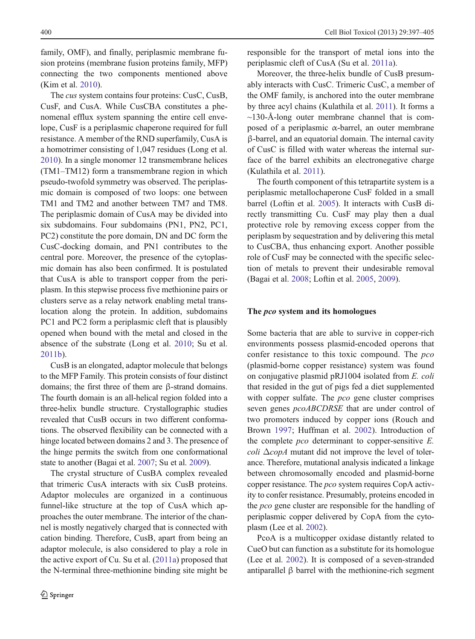family, OMF), and finally, periplasmic membrane fusion proteins (membrane fusion proteins family, MFP) connecting the two components mentioned above (Kim et al. [2010](#page-8-0)).

The cus system contains four proteins: CusC, CusB, CusF, and CusA. While CusCBA constitutes a phenomenal efflux system spanning the entire cell envelope, CusF is a periplasmic chaperone required for full resistance. A member of the RND superfamily, CusA is a homotrimer consisting of 1,047 residues (Long et al. [2010\)](#page-8-0). In a single monomer 12 transmembrane helices (TM1–TM12) form a transmembrane region in which pseudo-twofold symmetry was observed. The periplasmic domain is composed of two loops: one between TM1 and TM2 and another between TM7 and TM8. The periplasmic domain of CusA may be divided into six subdomains. Four subdomains (PN1, PN2, PC1, PC2) constitute the pore domain, DN and DC form the CusC-docking domain, and PN1 contributes to the central pore. Moreover, the presence of the cytoplasmic domain has also been confirmed. It is postulated that CusA is able to transport copper from the periplasm. In this stepwise process five methionine pairs or clusters serve as a relay network enabling metal translocation along the protein. In addition, subdomains PC1 and PC2 form a periplasmic cleft that is plausibly opened when bound with the metal and closed in the absence of the substrate (Long et al. [2010;](#page-8-0) Su et al. [2011b](#page-9-0)).

CusB is an elongated, adaptor molecule that belongs to the MFP Family. This protein consists of four distinct domains; the first three of them are β-strand domains. The fourth domain is an all-helical region folded into a three-helix bundle structure. Crystallographic studies revealed that CusB occurs in two different conformations. The observed flexibility can be connected with a hinge located between domains 2 and 3. The presence of the hinge permits the switch from one conformational state to another (Bagai et al. [2007](#page-7-0); Su et al. [2009\)](#page-9-0).

The crystal structure of CusBA complex revealed that trimeric CusA interacts with six CusB proteins. Adaptor molecules are organized in a continuous funnel-like structure at the top of CusA which approaches the outer membrane. The interior of the channel is mostly negatively charged that is connected with cation binding. Therefore, CusB, apart from being an adaptor molecule, is also considered to play a role in the active export of Cu. Su et al. [\(2011a](#page-9-0)) proposed that the N-terminal three-methionine binding site might be responsible for the transport of metal ions into the periplasmic cleft of CusA (Su et al. [2011a](#page-9-0)).

Moreover, the three-helix bundle of CusB presumably interacts with CusC. Trimeric CusC, a member of the OMF family, is anchored into the outer membrane by three acyl chains (Kulathila et al. [2011\)](#page-8-0). It forms a  $\sim$ 130-Å-long outer membrane channel that is composed of a periplasmic  $\alpha$ -barrel, an outer membrane β-barrel, and an equatorial domain. The internal cavity of CusC is filled with water whereas the internal surface of the barrel exhibits an electronegative charge (Kulathila et al. [2011](#page-8-0)).

The fourth component of this tetrapartite system is a periplasmic metallochaperone CusF folded in a small barrel (Loftin et al. [2005\)](#page-8-0). It interacts with CusB directly transmitting Cu. CusF may play then a dual protective role by removing excess copper from the periplasm by sequestration and by delivering this metal to CusCBA, thus enhancing export. Another possible role of CusF may be connected with the specific selection of metals to prevent their undesirable removal (Bagai et al. [2008;](#page-7-0) Loftin et al. [2005,](#page-8-0) [2009\)](#page-8-0).

#### The pco system and its homologues

Some bacteria that are able to survive in copper-rich environments possess plasmid-encoded operons that confer resistance to this toxic compound. The pco (plasmid-borne copper resistance) system was found on conjugative plasmid pRJ1004 isolated from E. coli that resided in the gut of pigs fed a diet supplemented with copper sulfate. The *pco* gene cluster comprises seven genes *pcoABCDRSE* that are under control of two promoters induced by copper ions (Rouch and Brown [1997](#page-8-0); Huffman et al. [2002\)](#page-8-0). Introduction of the complete *pco* determinant to copper-sensitive *E*. coli  $\triangle$ copA mutant did not improve the level of tolerance. Therefore, mutational analysis indicated a linkage between chromosomally encoded and plasmid-borne copper resistance. The pco system requires CopA activity to confer resistance. Presumably, proteins encoded in the *pco* gene cluster are responsible for the handling of periplasmic copper delivered by CopA from the cytoplasm (Lee et al. [2002](#page-8-0)).

PcoA is a multicopper oxidase distantly related to CueO but can function as a substitute for its homologue (Lee et al. [2002\)](#page-8-0). It is composed of a seven-stranded antiparallel β barrel with the methionine-rich segment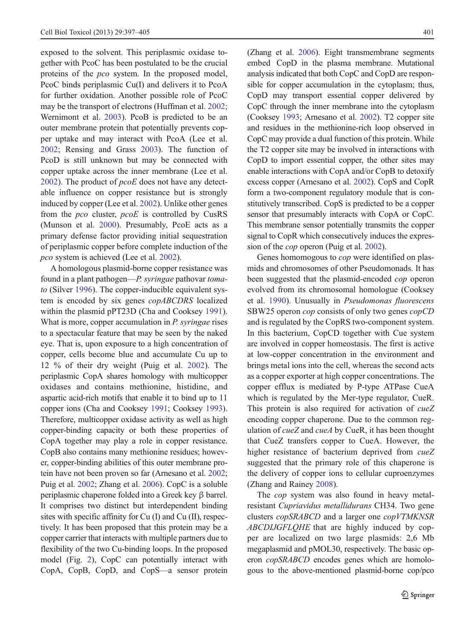exposed to the solvent. This periplasmic oxidase together with PcoC has been postulated to be the crucial proteins of the pco system. In the proposed model, PcoC binds periplasmic Cu(I) and delivers it to PcoA for further oxidation. Another possible role of PcoC may be the transport of electrons (Huffman et al. [2002](#page-8-0); Wernimont et al. [2003](#page-9-0)). PcoB is predicted to be an outer membrane protein that potentially prevents copper uptake and may interact with PcoA (Lee et al. [2002;](#page-8-0) Rensing and Grass [2003](#page-8-0)). The function of PcoD is still unknown but may be connected with copper uptake across the inner membrane (Lee et al.  $2002$ ). The product of  $pcoE$  does not have any detectable influence on copper resistance but is strongly induced by copper (Lee et al. [2002](#page-8-0)). Unlike other genes from the pco cluster, pcoE is controlled by CusRS (Munson et al. [2000](#page-8-0)). Presumably, PcoE acts as a primary defense factor providing initial sequestration of periplasmic copper before complete induction of the pco system is achieved (Lee et al. [2002\)](#page-8-0).

A homologous plasmid-borne copper resistance was found in a plant pathogen—P. syringae pathovar tomato (Silver [1996](#page-8-0)). The copper-inducible equivalent system is encoded by six genes copABCDRS localized within the plasmid pPT23D (Cha and Cooksey [1991](#page-7-0)). What is more, copper accumulation in *P. syringae* rises to a spectacular feature that may be seen by the naked eye. That is, upon exposure to a high concentration of copper, cells become blue and accumulate Cu up to 12 % of their dry weight (Puig et al. [2002\)](#page-8-0). The periplasmic CopA shares homology with multicopper oxidases and contains methionine, histidine, and aspartic acid-rich motifs that enable it to bind up to 11 copper ions (Cha and Cooksey [1991](#page-7-0); Cooksey [1993\)](#page-7-0). Therefore, multicopper oxidase activity as well as high copper-binding capacity or both these properties of CopA together may play a role in copper resistance. CopB also contains many methionine residues; however, copper-binding abilities of this outer membrane protein have not been proven so far (Arnesano et al. [2002](#page-7-0); Puig et al. [2002;](#page-8-0) Zhang et al. [2006\)](#page-9-0). CopC is a soluble periplasmic chaperone folded into a Greek key β barrel. It comprises two distinct but interdependent binding sites with specific affinity for Cu (I) and Cu (II), respectively. It has been proposed that this protein may be a copper carrier that interacts with multiple partners due to flexibility of the two Cu-binding loops. In the proposed model (Fig. [2\)](#page-6-0), CopC can potentially interact with CopA, CopB, CopD, and CopS—a sensor protein

(Zhang et al. [2006](#page-9-0)). Eight transmembrane segments embed CopD in the plasma membrane. Mutational analysis indicated that both CopC and CopD are responsible for copper accumulation in the cytoplasm; thus, CopD may transport essential copper delivered by CopC through the inner membrane into the cytoplasm (Cooksey [1993](#page-7-0); Arnesano et al. [2002](#page-7-0)). T2 copper site and residues in the methionine-rich loop observed in CopC may provide a dual function of this protein. While the T2 copper site may be involved in interactions with CopD to import essential copper, the other sites may enable interactions with CopA and/or CopB to detoxify excess copper (Arnesano et al. [2002](#page-7-0)). CopS and CopR form a two-component regulatory module that is constitutively transcribed. CopS is predicted to be a copper sensor that presumably interacts with CopA or CopC. This membrane sensor potentially transmits the copper signal to CopR which consecutively induces the expression of the *cop* operon (Puig et al. [2002\)](#page-8-0).

Genes homomogous to *cop* were identified on plasmids and chromosomes of other Pseudomonads. It has been suggested that the plasmid-encoded cop operon evolved from its chromosomal homologue (Cooksey et al. [1990\)](#page-7-0). Unusually in Pseudomonas fluorescens SBW25 operon cop consists of only two genes copCD and is regulated by the CopRS two-component system. In this bacterium, CopCD together with Cue system are involved in copper homeostasis. The first is active at low-copper concentration in the environment and brings metal ions into the cell, whereas the second acts as a copper exporter at high copper concentrations. The copper efflux is mediated by P-type ATPase CueA which is regulated by the Mer-type regulator, CueR. This protein is also required for activation of *cueZ* encoding copper chaperone. Due to the common regulation of *cueZ* and *cueA* by CueR, it has been thought that CueZ transfers copper to CueA. However, the higher resistance of bacterium deprived from  $cueZ$ suggested that the primary role of this chaperone is the delivery of copper ions to cellular cuproenzymes (Zhang and Rainey [2008\)](#page-9-0).

The *cop* system was also found in heavy metalresistant Cupriavidus metallidurans CH34. Two gene clusters copSRABCD and a larger one copVTMKNSR ABCDIJGFLQHE that are highly induced by copper are localized on two large plasmids: 2,6 Mb megaplasmid and pMOL30, respectively. The basic operon copSRABCD encodes genes which are homologous to the above-mentioned plasmid-borne cop/pco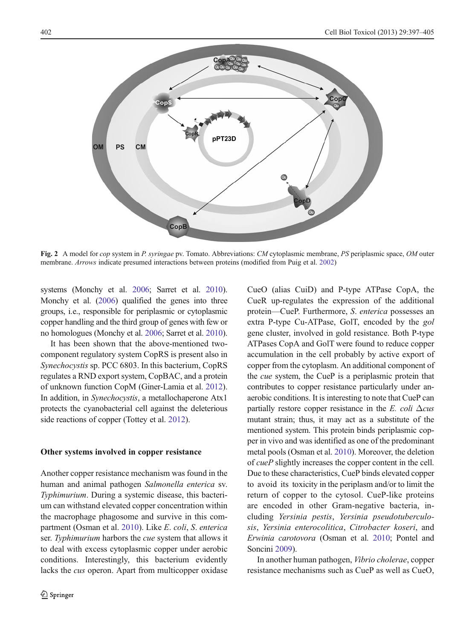<span id="page-6-0"></span>

Fig. 2 A model for *cop* system in P. syringae pv. Tomato. Abbreviations: CM cytoplasmic membrane, PS periplasmic space, OM outer membrane. Arrows indicate presumed interactions between proteins (modified from Puig et al. [2002](#page-8-0))

systems (Monchy et al. [2006;](#page-8-0) Sarret et al. [2010\)](#page-8-0). Monchy et al. [\(2006\)](#page-8-0) qualified the genes into three groups, i.e., responsible for periplasmic or cytoplasmic copper handling and the third group of genes with few or no homologues (Monchy et al. [2006](#page-8-0); Sarret et al. [2010\)](#page-8-0).

It has been shown that the above-mentioned twocomponent regulatory system CopRS is present also in Synechocystis sp. PCC 6803. In this bacterium, CopRS regulates a RND export system, CopBAC, and a protein of unknown function CopM (Giner-Lamia et al. [2012\)](#page-8-0). In addition, in Synechocystis, a metallochaperone Atx1 protects the cyanobacterial cell against the deleterious side reactions of copper (Tottey et al. [2012\)](#page-9-0).

#### Other systems involved in copper resistance

Another copper resistance mechanism was found in the human and animal pathogen Salmonella enterica sv. Typhimurium. During a systemic disease, this bacterium can withstand elevated copper concentration within the macrophage phagosome and survive in this compartment (Osman et al. [2010\)](#page-8-0). Like E. coli, S. enterica ser. Typhimurium harbors the *cue* system that allows it to deal with excess cytoplasmic copper under aerobic conditions. Interestingly, this bacterium evidently lacks the cus operon. Apart from multicopper oxidase CueO (alias CuiD) and P-type ATPase CopA, the CueR up-regulates the expression of the additional protein—CueP. Furthermore, S. enterica possesses an extra P-type Cu-ATPase, GolT, encoded by the gol gene cluster, involved in gold resistance. Both P-type ATPases CopA and GolT were found to reduce copper accumulation in the cell probably by active export of copper from the cytoplasm. An additional component of the cue system, the CueP is a periplasmic protein that contributes to copper resistance particularly under anaerobic conditions. It is interesting to note that CueP can partially restore copper resistance in the E. coli  $\Delta c$ us mutant strain; thus, it may act as a substitute of the mentioned system. This protein binds periplasmic copper in vivo and was identified as one of the predominant metal pools (Osman et al. [2010\)](#page-8-0). Moreover, the deletion of cueP slightly increases the copper content in the cell. Due to these characteristics, CueP binds elevated copper to avoid its toxicity in the periplasm and/or to limit the return of copper to the cytosol. CueP-like proteins are encoded in other Gram-negative bacteria, including Yersinia pestis, Yersinia pseudotuberculosis, Yersinia enterocolitica, Citrobacter koseri, and Erwinia carotovora (Osman et al. [2010](#page-8-0); Pontel and Soncini [2009\)](#page-8-0).

In another human pathogen, Vibrio cholerae, copper resistance mechanisms such as CueP as well as CueO,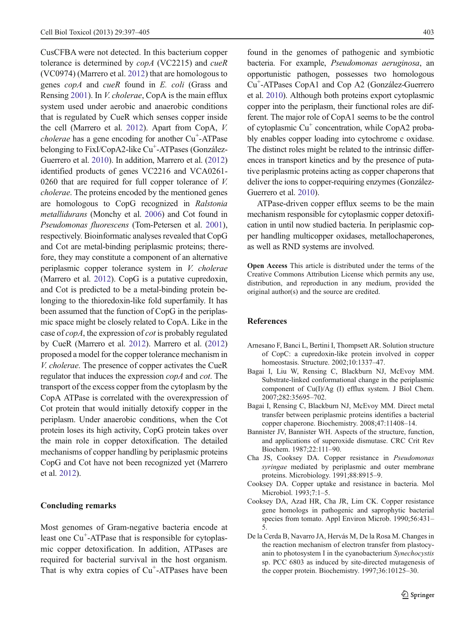<span id="page-7-0"></span>CusCFBA were not detected. In this bacterium copper tolerance is determined by copA (VC2215) and cueR (VC0974) (Marrero et al. [2012](#page-8-0)) that are homologous to genes copA and cueR found in E. coli (Grass and Rensing [2001](#page-8-0)). In V. cholerae, CopA is the main efflux system used under aerobic and anaerobic conditions that is regulated by CueR which senses copper inside the cell (Marrero et al. [2012](#page-8-0)). Apart from CopA, V. cholerae has a gene encoding for another Cu<sup>+</sup>-ATPase belonging to FixI/CopA2-like Cu<sup>+</sup>-ATPases (González-Guerrero et al. [2010](#page-8-0)). In addition, Marrero et al. [\(2012\)](#page-8-0) identified products of genes VC2216 and VCA0261- 0260 that are required for full copper tolerance of V. cholerae. The proteins encoded by the mentioned genes are homologous to CopG recognized in Ralstonia metallidurans (Monchy et al. [2006](#page-8-0)) and Cot found in Pseudomonas fluorescens (Tom-Petersen et al. [2001\)](#page-9-0), respectively. Bioinformatic analyses revealed that CopG and Cot are metal-binding periplasmic proteins; therefore, they may constitute a component of an alternative periplasmic copper tolerance system in V. cholerae (Marrero et al. [2012\)](#page-8-0). CopG is a putative cupredoxin, and Cot is predicted to be a metal-binding protein belonging to the thioredoxin-like fold superfamily. It has been assumed that the function of CopG in the periplasmic space might be closely related to CopA. Like in the case of copA, the expression of cot is probably regulated by CueR (Marrero et al. [2012](#page-8-0)). Marrero et al. [\(2012\)](#page-8-0) proposed a model for the copper tolerance mechanism in V. cholerae. The presence of copper activates the CueR regulator that induces the expression copA and cot. The transport of the excess copper from the cytoplasm by the CopA ATPase is correlated with the overexpression of Cot protein that would initially detoxify copper in the periplasm. Under anaerobic conditions, when the Cot protein loses its high activity, CopG protein takes over the main role in copper detoxification. The detailed mechanisms of copper handling by periplasmic proteins CopG and Cot have not been recognized yet (Marrero et al. [2012\)](#page-8-0).

#### Concluding remarks

Most genomes of Gram-negative bacteria encode at least one Cu<sup>+</sup>-ATPase that is responsible for cytoplasmic copper detoxification. In addition, ATPases are required for bacterial survival in the host organism. That is why extra copies of  $Cu<sup>+</sup>-ATPases$  have been

found in the genomes of pathogenic and symbiotic bacteria. For example, Pseudomonas aeruginosa, an opportunistic pathogen, possesses two homologous Cu+ -ATPases CopA1 and Cop A2 (González-Guerrero et al. [2010\)](#page-8-0). Although both proteins export cytoplasmic copper into the periplasm, their functional roles are different. The major role of CopA1 seems to be the control of cytoplasmic  $Cu<sup>+</sup>$  concentration, while CopA2 probably enables copper loading into cytochrome c oxidase. The distinct roles might be related to the intrinsic differences in transport kinetics and by the presence of putative periplasmic proteins acting as copper chaperons that deliver the ions to copper-requiring enzymes (González-Guerrero et al. [2010\)](#page-8-0).

ATPase-driven copper efflux seems to be the main mechanism responsible for cytoplasmic copper detoxification in until now studied bacteria. In periplasmic copper handling multicopper oxidases, metallochaperones, as well as RND systems are involved.

Open Access This article is distributed under the terms of the Creative Commons Attribution License which permits any use, distribution, and reproduction in any medium, provided the original author(s) and the source are credited.

#### **References**

- Arnesano F, Banci L, Bertini I, Thompsett AR. Solution structure of CopC: a cupredoxin-like protein involved in copper homeostasis. Structure. 2002;10:1337–47.
- Bagai I, Liu W, Rensing C, Blackburn NJ, McEvoy MM. Substrate-linked conformational change in the periplasmic component of Cu(I)/Ag (I) efflux system. J Biol Chem. 2007;282:35695–702.
- Bagai I, Rensing C, Blackburn NJ, McEvoy MM. Direct metal transfer between periplasmic proteins identifies a bacterial copper chaperone. Biochemistry. 2008;47:11408–14.
- Bannister JV, Bannister WH. Aspects of the structure, function, and applications of superoxide dismutase. CRC Crit Rev Biochem. 1987;22:111–90.
- Cha JS, Cooksey DA. Copper resistance in Pseudomonas syringae mediated by periplasmic and outer membrane proteins. Microbiology. 1991;88:8915–9.
- Cooksey DA. Copper uptake and resistance in bacteria. Mol Microbiol. 1993;7:1–5.
- Cooksey DA, Azad HR, Cha JR, Lim CK. Copper resistance gene homologs in pathogenic and saprophytic bacterial species from tomato. Appl Environ Microb. 1990;56:431– 5.
- De la Cerda B, Navarro JA, Hervás M, De la Rosa M. Changes in the reaction mechanism of electron transfer from plastocyanin to photosystem I in the cyanobacterium Synechocystis sp. PCC 6803 as induced by site-directed mutagenesis of the copper protein. Biochemistry. 1997;36:10125–30.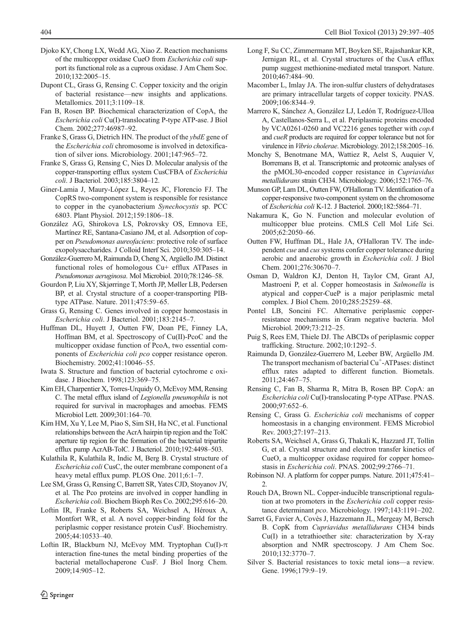- <span id="page-8-0"></span>Djoko KY, Chong LX, Wedd AG, Xiao Z. Reaction mechanisms of the multicopper oxidase CueO from Escherichia coli support its functional role as a cuprous oxidase. J Am Chem Soc. 2010;132:2005–15.
- Dupont CL, Grass G, Rensing C. Copper toxicity and the origin of bacterial resistance—new insights and applications. Metallomics. 2011;3:1109–18.
- Fan B, Rosen BP. Biochemical characterization of CopA, the Escherichia coli Cu(I)-translocating P-type ATP-ase. J Biol Chem. 2002;277:46987–92.
- Franke S, Grass G, Dietrich HN. The product of the *ybdE* gene of the Escherichia coli chromosome is involved in detoxification of silver ions. Microbiology. 2001;147:965–72.
- Franke S, Grass G, Rensing C, Nies D. Molecular analysis of the copper-transporting efflux system CusCFBA of Escherichia coli. J Bacteriol. 2003;185:3804–12.
- Giner-Lamia J, Maury-López L, Reyes JC, Florencio FJ. The CopRS two-component system is responsible for resistance to copper in the cyanobacterium Synechocystis sp. PCC 6803. Plant Physiol. 2012;159:1806–18.
- González AG, Shirokova LS, Pokrovsky OS, Emnova EE, Martínez RE, Santana-Casiano JM, et al. Adsorption of copper on Pseudomonas aureofaciens: protective role of surface exopolysaccharides. J Colloid Interf Sci. 2010;350:305–14.
- González-Guerrero M, Raimunda D, Cheng X, Argüello JM. Distinct functional roles of homologous Cu+ efflux ATPases in Pseudomonas aeruginosa. Mol Microbiol. 2010;78:1246–58.
- Gourdon P, Liu XY, Skjørringe T, Morth JP, Møller LB, Pedersen BP, et al. Crystal structure of a cooper-transporting PIBtype ATPase. Nature. 2011;475:59–65.
- Grass G, Rensing C. Genes involved in copper homeostasis in Escherichia coli. J Bacteriol. 2001;183:2145–7.
- Huffman DL, Huyett J, Outten FW, Doan PE, Finney LA, Hoffman BM, et al. Spectroscopy of Cu(II)-PcoC and the multicopper oxidase function of PcoA, two essential components of Escherichia coli pco copper resistance operon. Biochemistry. 2002;41:10046–55.
- Iwata S. Structure and function of bacterial cytochrome c oxidase. J Biochem. 1998;123:369–75.
- Kim EH, Charpentier X, Torres-Urquidy O, McEvoy MM, Rensing C. The metal efflux island of Legionella pneumophila is not required for survival in macrophages and amoebas. FEMS Microbiol Lett. 2009;301:164–70.
- Kim HM, Xu Y, Lee M, Piao S, Sim SH, Ha NC, et al. Functional relationships between the AcrA hairpin tip region and the TolC aperture tip region for the formation of the bacterial tripartite efflux pump AcrAB-TolC. J Bacteriol. 2010;192:4498–503.
- Kulathila R, Kulathila R, Indic M, Berg B. Crystal structure of Escherichia coli CusC, the outer membrane component of a heavy metal efflux pump. PLOS One. 2011;6:1–7.
- Lee SM, Grass G, Rensing C, Barrett SR, Yates CJD, Stoyanov JV, et al. The Pco proteins are involved in copper handling in Escherichia coli. Biochem Bioph Res Co. 2002;295:616–20.
- Loftin IR, Franke S, Roberts SA, Weichsel A, Héroux A, Montfort WR, et al. A novel copper-binding fold for the periplasmic copper resistance protein CusF. Biochemistry. 2005;44:10533–40.
- Loftin IR, Blackburn NJ, McEvoy MM. Tryptophan Cu(I)-π interaction fine-tunes the metal binding properties of the bacterial metallochaperone CusF. J Biol Inorg Chem. 2009;14:905–12.
- Long F, Su CC, Zimmermann MT, Boyken SE, Rajashankar KR, Jernigan RL, et al. Crystal structures of the CusA efflux pump suggest methionine-mediated metal transport. Nature. 2010;467:484–90.
- Macomber L, Imlay JA. The iron-sulfur clusters of dehydratases are primary intracellular targets of copper toxicity. PNAS. 2009;106:8344–9.
- Marrero K, Sánchez A, González LJ, Ledón T, Rodríguez-Ulloa A, Castellanos-Serra L, et al. Periplasmic proteins encoded by VCA0261-0260 and VC2216 genes together with copA and cueR products are required for copper tolerance but not for virulence in Vibrio cholerae. Microbiology. 2012;158:2005–16.
- Monchy S, Benotmane MA, Wattiez R, Aelst S, Auquier V, Borremans B, et al. Transcriptomic and proteomic analyses of the pMOL30-encoded copper resistance in Cupriavidus metallidurans strain CH34. Microbiology. 2006;152:1765–76.
- Munson GP, Lam DL, Outten FW, O'Halloran TV. Identification of a copper-responsive two-component system on the chromosome of Escherichia coli K-12. J Bacteriol. 2000;182:5864–71.
- Nakamura K, Go N. Function and molecular evolution of multicopper blue proteins. CMLS Cell Mol Life Sci. 2005;62:2050–66.
- Outten FW, Huffman DL, Hale JA, O'Halloran TV. The independent cue and cus systems confer copper tolerance during aerobic and anaerobic growth in Escherichia coli. J Biol Chem. 2001;276:30670–7.
- Osman D, Waldron KJ, Denton H, Taylor CM, Grant AJ, Mastroeni P, et al. Copper homeostasis in Salmonella is atypical and copper-CueP is a major periplasmic metal complex. J Biol Chem. 2010;285:25259–68.
- Pontel LB, Soncini FC. Alternative periplasmic copperresistance mechanisms in Gram negative bacteria. Mol Microbiol. 2009;73:212–25.
- Puig S, Rees EM, Thiele DJ. The ABCDs of periplasmic copper trafficking. Structure. 2002;10:1292–5.
- Raimunda D, González-Guerrero M, Leeber BW, Argüello JM. The transport mechanism of bacterial  $Cu^+$ -ATPases: distinct efflux rates adapted to different function. Biometals. 2011;24:467–75.
- Rensing C, Fan B, Sharma R, Mitra B, Rosen BP. CopA: an Escherichia coli Cu(I)-translocating P-type ATPase. PNAS. 2000;97:652–6.
- Rensing C, Grass G. Escherichia coli mechanisms of copper homeostasis in a changing environment. FEMS Microbiol Rev. 2003;27:197–213.
- Roberts SA, Weichsel A, Grass G, Thakali K, Hazzard JT, Tollin G, et al. Crystal structure and electron transfer kinetics of CueO, a multicopper oxidase required for copper homeostasis in Escherichia coli. PNAS. 2002;99:2766–71.
- Robinson NJ. A platform for copper pumps. Nature. 2011;475:41–  $\mathcal{L}$
- Rouch DA, Brown NL. Copper-inducible transcriptional regulation at two promoters in the Escherichia coli copper resistance determinant pco. Microbiology. 1997;143:1191–202.
- Sarret G, Favier A, Covès J, Hazzemann JL, Mergeay M, Bersch B. CopK from Cupriavidus metallidurans CH34 binds Cu(I) in a tetrathioether site: characterization by X-ray absorption and NMR spectroscopy. J Am Chem Soc. 2010;132:3770–7.
- Silver S. Bacterial resistances to toxic metal ions—a review. Gene. 1996;179:9-19.